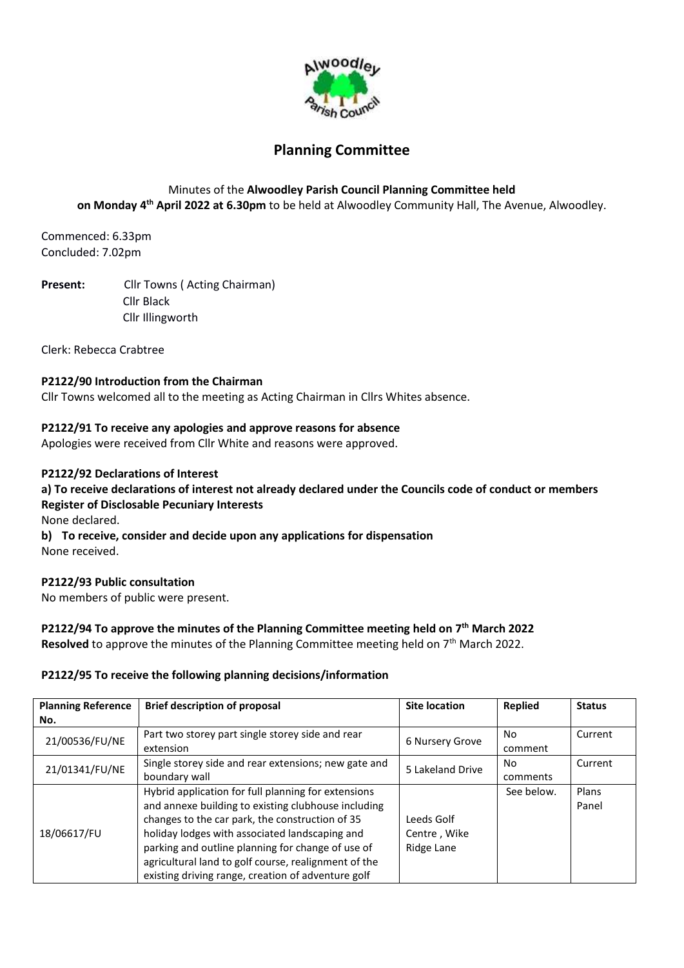

# **Planning Committee**

# Minutes of the **Alwoodley Parish Council Planning Committee held on Monday 4 th April 2022 at 6.30pm** to be held at Alwoodley Community Hall, The Avenue, Alwoodley.

Commenced: 6.33pm Concluded: 7.02pm

**Present:** Cllr Towns ( Acting Chairman) Cllr Black Cllr Illingworth

Clerk: Rebecca Crabtree

### **P2122/90 Introduction from the Chairman**

Cllr Towns welcomed all to the meeting as Acting Chairman in Cllrs Whites absence.

### **P2122/91 To receive any apologies and approve reasons for absence**

Apologies were received from Cllr White and reasons were approved.

#### **P2122/92 Declarations of Interest**

**a) To receive declarations of interest not already declared under the Councils code of conduct or members Register of Disclosable Pecuniary Interests** None declared.

**b) To receive, consider and decide upon any applications for dispensation**  None received.

#### **P2122/93 Public consultation**

No members of public were present.

## **P2122/94 To approve the minutes of the Planning Committee meeting held on 7 th March 2022**

Resolved to approve the minutes of the Planning Committee meeting held on 7<sup>th</sup> March 2022.

#### **P2122/95 To receive the following planning decisions/information**

| <b>Planning Reference</b> | <b>Brief description of proposal</b>                 | <b>Site location</b> | <b>Replied</b> | <b>Status</b> |
|---------------------------|------------------------------------------------------|----------------------|----------------|---------------|
| No.                       |                                                      |                      |                |               |
| 21/00536/FU/NE            | Part two storey part single storey side and rear     | 6 Nursery Grove      | No             | Current       |
|                           | extension                                            |                      | comment        |               |
| 21/01341/FU/NE            | Single storey side and rear extensions; new gate and | 5 Lakeland Drive     | No             | Current       |
|                           | boundary wall                                        |                      | comments       |               |
| 18/06617/FU               | Hybrid application for full planning for extensions  |                      | See below.     | Plans         |
|                           | and annexe building to existing clubhouse including  |                      |                | Panel         |
|                           | changes to the car park, the construction of 35      | Leeds Golf           |                |               |
|                           | holiday lodges with associated landscaping and       | Centre, Wike         |                |               |
|                           | parking and outline planning for change of use of    | Ridge Lane           |                |               |
|                           | agricultural land to golf course, realignment of the |                      |                |               |
|                           | existing driving range, creation of adventure golf   |                      |                |               |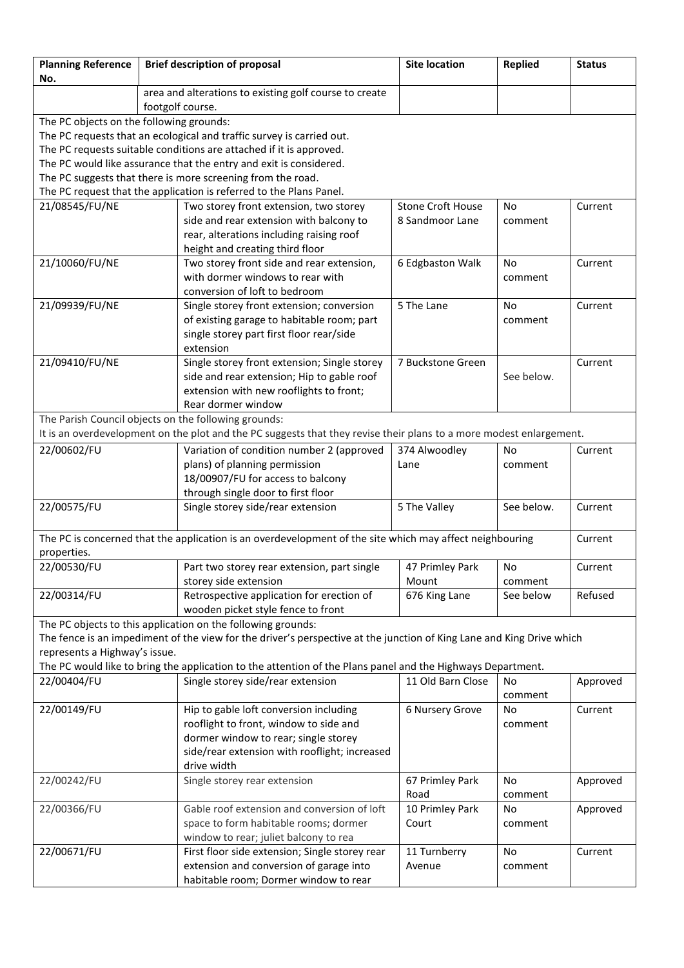| <b>Planning Reference</b><br>No.         | <b>Brief description of proposal</b>                                                                                  | <b>Site location</b>     | <b>Replied</b> | <b>Status</b> |
|------------------------------------------|-----------------------------------------------------------------------------------------------------------------------|--------------------------|----------------|---------------|
|                                          | area and alterations to existing golf course to create                                                                |                          |                |               |
|                                          | footgolf course.                                                                                                      |                          |                |               |
| The PC objects on the following grounds: |                                                                                                                       |                          |                |               |
|                                          | The PC requests that an ecological and traffic survey is carried out.                                                 |                          |                |               |
|                                          | The PC requests suitable conditions are attached if it is approved.                                                   |                          |                |               |
|                                          | The PC would like assurance that the entry and exit is considered.                                                    |                          |                |               |
|                                          | The PC suggests that there is more screening from the road.                                                           |                          |                |               |
|                                          | The PC request that the application is referred to the Plans Panel.                                                   |                          |                |               |
| 21/08545/FU/NE                           | Two storey front extension, two storey                                                                                | <b>Stone Croft House</b> | No.            | Current       |
|                                          | side and rear extension with balcony to                                                                               | 8 Sandmoor Lane          | comment        |               |
|                                          | rear, alterations including raising roof                                                                              |                          |                |               |
|                                          | height and creating third floor                                                                                       |                          |                |               |
| 21/10060/FU/NE                           | Two storey front side and rear extension,                                                                             | 6 Edgbaston Walk         | No             | Current       |
|                                          | with dormer windows to rear with                                                                                      |                          | comment        |               |
|                                          | conversion of loft to bedroom                                                                                         | 5 The Lane               | <b>No</b>      |               |
| 21/09939/FU/NE                           | Single storey front extension; conversion                                                                             |                          |                | Current       |
|                                          | of existing garage to habitable room; part<br>single storey part first floor rear/side                                |                          | comment        |               |
|                                          | extension                                                                                                             |                          |                |               |
| 21/09410/FU/NE                           | Single storey front extension; Single storey                                                                          | 7 Buckstone Green        |                | Current       |
|                                          | side and rear extension; Hip to gable roof                                                                            |                          | See below.     |               |
|                                          | extension with new rooflights to front;                                                                               |                          |                |               |
|                                          | Rear dormer window                                                                                                    |                          |                |               |
|                                          | The Parish Council objects on the following grounds:                                                                  |                          |                |               |
|                                          | It is an overdevelopment on the plot and the PC suggests that they revise their plans to a more modest enlargement.   |                          |                |               |
| 22/00602/FU                              | Variation of condition number 2 (approved                                                                             | 374 Alwoodley            | <b>No</b>      | Current       |
|                                          | plans) of planning permission                                                                                         | Lane                     | comment        |               |
|                                          | 18/00907/FU for access to balcony                                                                                     |                          |                |               |
|                                          | through single door to first floor                                                                                    |                          |                |               |
| 22/00575/FU                              | Single storey side/rear extension                                                                                     | 5 The Valley             | See below.     | Current       |
|                                          |                                                                                                                       |                          |                |               |
|                                          | The PC is concerned that the application is an overdevelopment of the site which may affect neighbouring              |                          |                | Current       |
| properties.                              |                                                                                                                       |                          |                |               |
| 22/00530/FU                              | Part two storey rear extension, part single                                                                           | 47 Primley Park          | No             | Current       |
|                                          | storey side extension                                                                                                 | Mount                    | comment        |               |
| 22/00314/FU                              | Retrospective application for erection of                                                                             | 676 King Lane            | See below      | Refused       |
|                                          | wooden picket style fence to front                                                                                    |                          |                |               |
|                                          | The PC objects to this application on the following grounds:                                                          |                          |                |               |
|                                          | The fence is an impediment of the view for the driver's perspective at the junction of King Lane and King Drive which |                          |                |               |
| represents a Highway's issue.            | The PC would like to bring the application to the attention of the Plans panel and the Highways Department.           |                          |                |               |
| 22/00404/FU                              | Single storey side/rear extension                                                                                     | 11 Old Barn Close        | No.            | Approved      |
|                                          |                                                                                                                       |                          | comment        |               |
| 22/00149/FU                              | Hip to gable loft conversion including                                                                                | 6 Nursery Grove          | No             | Current       |
|                                          | rooflight to front, window to side and                                                                                |                          | comment        |               |
|                                          | dormer window to rear; single storey                                                                                  |                          |                |               |
|                                          | side/rear extension with rooflight; increased                                                                         |                          |                |               |
|                                          | drive width                                                                                                           |                          |                |               |
| 22/00242/FU                              | Single storey rear extension                                                                                          | 67 Primley Park          | No             | Approved      |
|                                          |                                                                                                                       | Road                     | comment        |               |
| 22/00366/FU                              | Gable roof extension and conversion of loft                                                                           | 10 Primley Park          | No             | Approved      |
|                                          | space to form habitable rooms; dormer                                                                                 | Court                    | comment        |               |
|                                          | window to rear; juliet balcony to rea                                                                                 |                          |                |               |
| 22/00671/FU                              | First floor side extension; Single storey rear                                                                        | 11 Turnberry             | No             | Current       |
|                                          | extension and conversion of garage into                                                                               | Avenue                   | comment        |               |
|                                          | habitable room; Dormer window to rear                                                                                 |                          |                |               |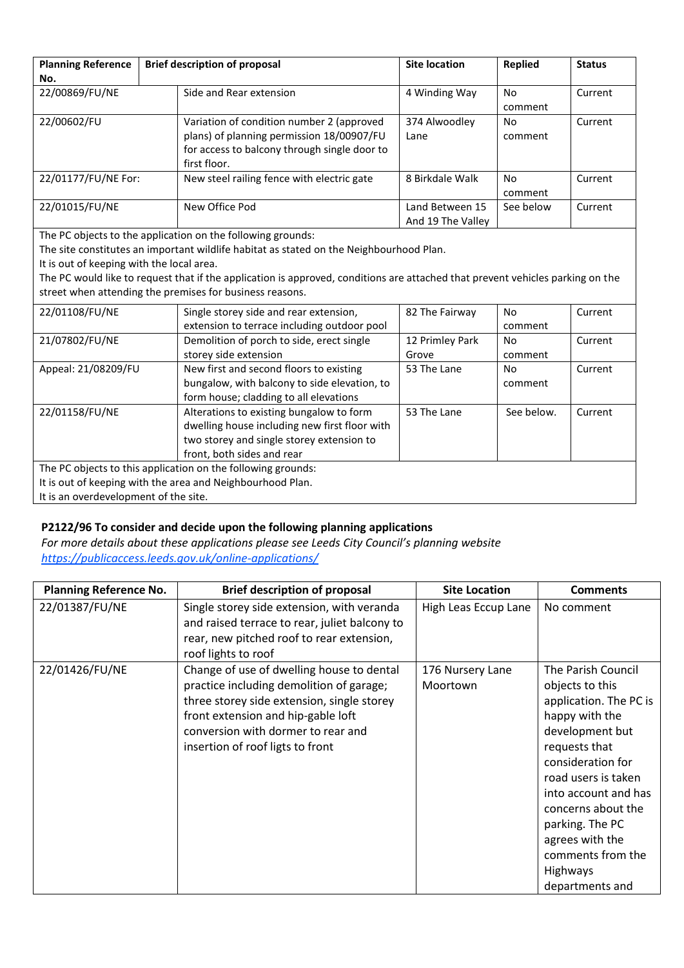| <b>Planning Reference</b><br>No. | <b>Brief description of proposal</b>                                                                                                                   | <b>Site location</b>                 | <b>Replied</b> | <b>Status</b> |
|----------------------------------|--------------------------------------------------------------------------------------------------------------------------------------------------------|--------------------------------------|----------------|---------------|
| 22/00869/FU/NE                   | Side and Rear extension                                                                                                                                | 4 Winding Way                        | No<br>comment  | Current       |
| 22/00602/FU                      | Variation of condition number 2 (approved<br>plans) of planning permission 18/00907/FU<br>for access to balcony through single door to<br>first floor. | 374 Alwoodley<br>Lane                | No<br>comment  | Current       |
| 22/01177/FU/NE For:              | New steel railing fence with electric gate                                                                                                             | 8 Birkdale Walk                      | No<br>comment  | Current       |
| 22/01015/FU/NE                   | New Office Pod                                                                                                                                         | Land Between 15<br>And 19 The Valley | See below      | Current       |

The PC objects to the application on the following grounds:

The site constitutes an important wildlife habitat as stated on the Neighbourhood Plan.

It is out of keeping with the local area.

The PC would like to request that if the application is approved, conditions are attached that prevent vehicles parking on the street when attending the premises for business reasons.

| 22/01108/FU/NE                                               | Single storey side and rear extension,        | 82 The Fairway  | No.        | Current |
|--------------------------------------------------------------|-----------------------------------------------|-----------------|------------|---------|
|                                                              | extension to terrace including outdoor pool   |                 | comment    |         |
| 21/07802/FU/NE                                               | Demolition of porch to side, erect single     | 12 Primley Park | No         | Current |
|                                                              | storey side extension                         | Grove           | comment    |         |
| Appeal: 21/08209/FU                                          | New first and second floors to existing       | 53 The Lane     | No.        | Current |
|                                                              | bungalow, with balcony to side elevation, to  |                 | comment    |         |
|                                                              | form house; cladding to all elevations        |                 |            |         |
| 22/01158/FU/NE                                               | Alterations to existing bungalow to form      | 53 The Lane     | See below. | Current |
|                                                              | dwelling house including new first floor with |                 |            |         |
|                                                              | two storey and single storey extension to     |                 |            |         |
|                                                              | front, both sides and rear                    |                 |            |         |
| The PC objects to this application on the following grounds: |                                               |                 |            |         |
| It is out of keeping with the area and Neighbourhood Plan.   |                                               |                 |            |         |
| It is an overdevelopment of the site.                        |                                               |                 |            |         |

## **P2122/96 To consider and decide upon the following planning applications**

*For more details about these applications please see Leeds City Council's planning website <https://publicaccess.leeds.gov.uk/online-applications/>*

| <b>Planning Reference No.</b> | <b>Brief description of proposal</b>                                                                                                                                                                                                                | <b>Site Location</b>         | <b>Comments</b>                                                                                                                                                                                                                                                                                                  |
|-------------------------------|-----------------------------------------------------------------------------------------------------------------------------------------------------------------------------------------------------------------------------------------------------|------------------------------|------------------------------------------------------------------------------------------------------------------------------------------------------------------------------------------------------------------------------------------------------------------------------------------------------------------|
| 22/01387/FU/NE                | Single storey side extension, with veranda<br>and raised terrace to rear, juliet balcony to<br>rear, new pitched roof to rear extension,<br>roof lights to roof                                                                                     | High Leas Eccup Lane         | No comment                                                                                                                                                                                                                                                                                                       |
| 22/01426/FU/NE                | Change of use of dwelling house to dental<br>practice including demolition of garage;<br>three storey side extension, single storey<br>front extension and hip-gable loft<br>conversion with dormer to rear and<br>insertion of roof ligts to front | 176 Nursery Lane<br>Moortown | The Parish Council<br>objects to this<br>application. The PC is<br>happy with the<br>development but<br>requests that<br>consideration for<br>road users is taken<br>into account and has<br>concerns about the<br>parking. The PC<br>agrees with the<br>comments from the<br><b>Highways</b><br>departments and |